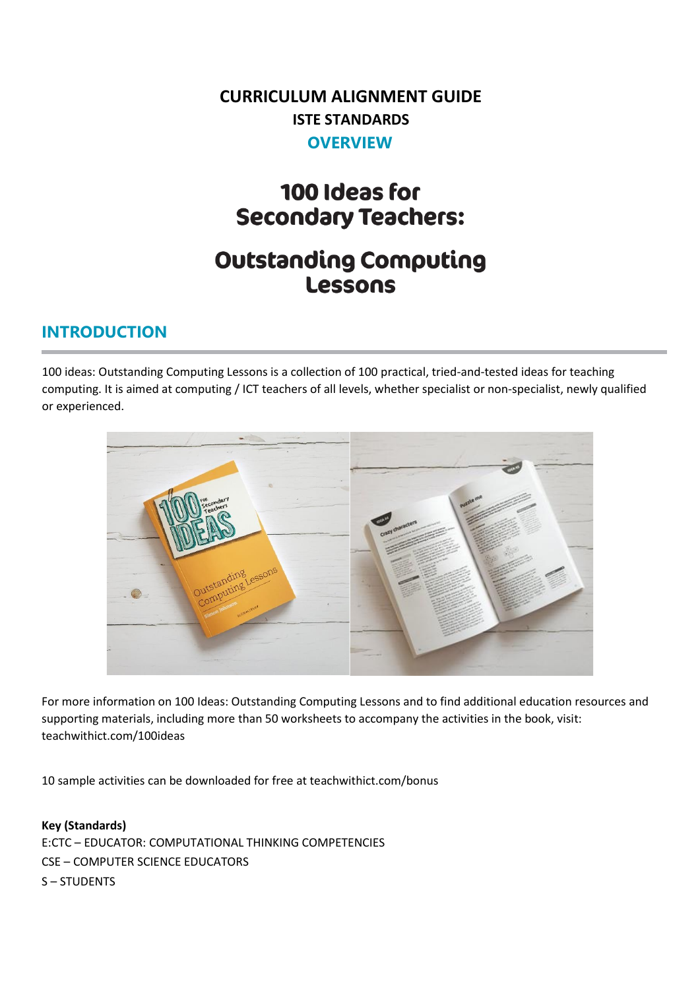## **CURRICULUM ALIGNMENT GUIDE ISTE STANDARDS OVERVIEW**

# 100 Ideas for **Secondary Teachers:**

# **Outstanding Computing Lessons**

#### **INTRODUCTION**

100 ideas: Outstanding Computing Lessons is a collection of 100 practical, tried-and-tested ideas for teaching computing. It is aimed at computing / ICT teachers of all levels, whether specialist or non-specialist, newly qualified or experienced.



For more information on 100 Ideas: Outstanding Computing Lessons and to find additional education resources and supporting materials, including more than 50 worksheets to accompany the activities in the book, visit: teachwithict.com/100ideas

10 sample activities can be downloaded for free at teachwithict.com/bonus

**Key (Standards)** E:CTC – EDUCATOR: COMPUTATIONAL THINKING COMPETENCIES CSE – COMPUTER SCIENCE EDUCATORS S – STUDENTS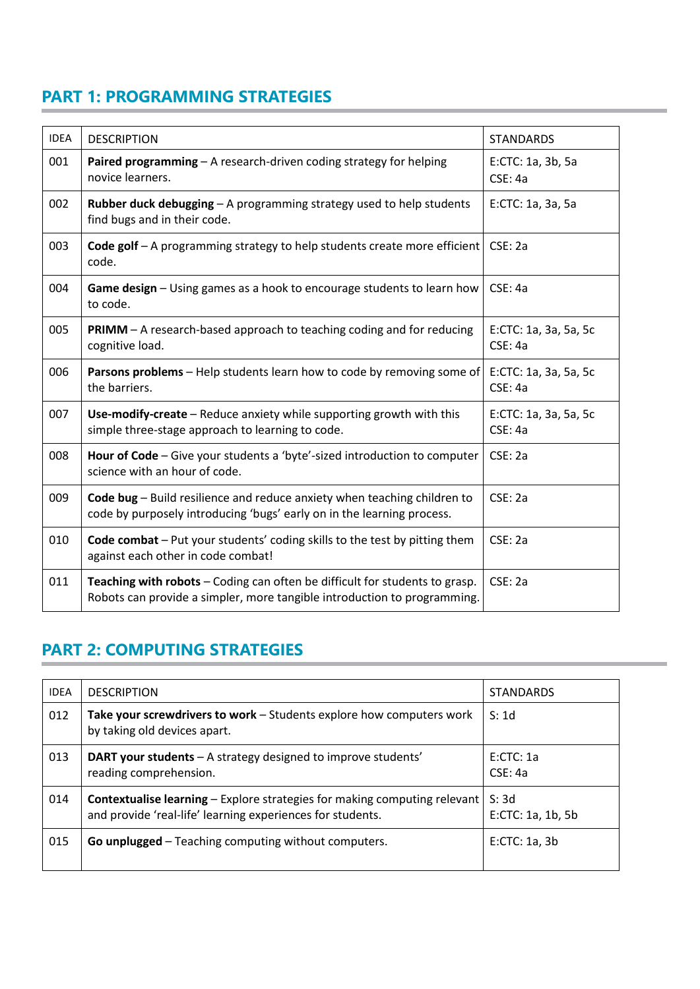#### **PART 1: PROGRAMMING STRATEGIES**

| <b>IDEA</b> | <b>DESCRIPTION</b>                                                                                                                                      | <b>STANDARDS</b>                 |
|-------------|---------------------------------------------------------------------------------------------------------------------------------------------------------|----------------------------------|
| 001         | Paired programming - A research-driven coding strategy for helping<br>novice learners.                                                                  | E:CTC: 1a, 3b, 5a<br>CSE: 4a     |
| 002         | Rubber duck debugging - A programming strategy used to help students<br>find bugs and in their code.                                                    | E:CTC: 1a, 3a, 5a                |
| 003         | Code golf - A programming strategy to help students create more efficient<br>code.                                                                      | CSE: 2a                          |
| 004         | Game design - Using games as a hook to encourage students to learn how<br>to code.                                                                      | CSE: 4a                          |
| 005         | PRIMM - A research-based approach to teaching coding and for reducing<br>cognitive load.                                                                | E:CTC: 1a, 3a, 5a, 5c<br>CSE: 4a |
| 006         | Parsons problems - Help students learn how to code by removing some of<br>the barriers.                                                                 | E:CTC: 1a, 3a, 5a, 5c<br>CSE: 4a |
| 007         | Use-modify-create - Reduce anxiety while supporting growth with this<br>simple three-stage approach to learning to code.                                | E:CTC: 1a, 3a, 5a, 5c<br>CSE: 4a |
| 008         | Hour of Code - Give your students a 'byte'-sized introduction to computer<br>science with an hour of code.                                              | CSE: 2a                          |
| 009         | Code bug - Build resilience and reduce anxiety when teaching children to<br>code by purposely introducing 'bugs' early on in the learning process.      | CSE: 2a                          |
| 010         | Code combat - Put your students' coding skills to the test by pitting them<br>against each other in code combat!                                        | CSE: 2a                          |
| 011         | Teaching with robots - Coding can often be difficult for students to grasp.<br>Robots can provide a simpler, more tangible introduction to programming. | CSE: 2a                          |

### **PART 2: COMPUTING STRATEGIES**

| <b>IDEA</b> | <b>DESCRIPTION</b>                                                                                                                             | <b>STANDARDS</b>          |
|-------------|------------------------------------------------------------------------------------------------------------------------------------------------|---------------------------|
| 012         | Take your screwdrivers to work - Students explore how computers work<br>by taking old devices apart.                                           | S:1d                      |
| 013         | <b>DART your students</b> – A strategy designed to improve students'<br>reading comprehension.                                                 | E:CTC:1a<br>CSE: 4a       |
| 014         | <b>Contextualise learning – Explore strategies for making computing relevant</b><br>and provide 'real-life' learning experiences for students. | S:3d<br>E:CTC: 1a, 1b, 5b |
| 015         | <b>Go unplugged</b> – Teaching computing without computers.                                                                                    | E:CTC: 1a. 3b             |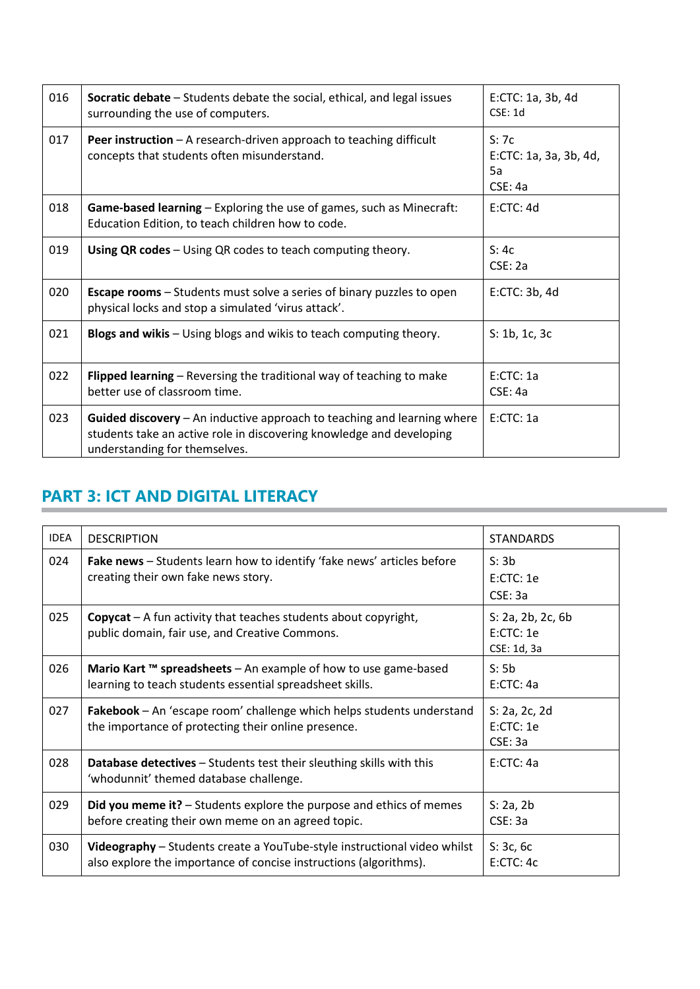| 016 | <b>Socratic debate</b> – Students debate the social, ethical, and legal issues<br>surrounding the use of computers.                                                              | E:CTC: 1a, 3b, 4d<br>CSE: 1d                    |
|-----|----------------------------------------------------------------------------------------------------------------------------------------------------------------------------------|-------------------------------------------------|
| 017 | <b>Peer instruction</b> $-$ A research-driven approach to teaching difficult<br>concepts that students often misunderstand.                                                      | S:7c<br>E:CTC: 1a, 3a, 3b, 4d,<br>5a<br>CSE: 4a |
| 018 | <b>Game-based learning</b> – Exploring the use of games, such as Minecraft:<br>Education Edition, to teach children how to code.                                                 | E:CTC:4d                                        |
| 019 | Using QR codes - Using QR codes to teach computing theory.                                                                                                                       | S:4c<br>CSE: 2a                                 |
| 020 | <b>Escape rooms</b> – Students must solve a series of binary puzzles to open<br>physical locks and stop a simulated 'virus attack'.                                              | E:CTC: 3b, 4d                                   |
| 021 | Blogs and wikis - Using blogs and wikis to teach computing theory.                                                                                                               | S: 1b, 1c, 3c                                   |
| 022 | Flipped learning – Reversing the traditional way of teaching to make<br>better use of classroom time.                                                                            | E:CTC:1a<br>CSE: 4a                             |
| 023 | Guided discovery - An inductive approach to teaching and learning where<br>students take an active role in discovering knowledge and developing<br>understanding for themselves. | E:CTC:1a                                        |

### **PART 3: ICT AND DIGITAL LITERACY**

| <b>IDEA</b> | <b>DESCRIPTION</b>                                                                                                                            | <b>STANDARDS</b>                             |
|-------------|-----------------------------------------------------------------------------------------------------------------------------------------------|----------------------------------------------|
| 024         | Fake news - Students learn how to identify 'fake news' articles before<br>creating their own fake news story.                                 | S: 3b<br>E:CTC:1e<br>CSE: 3a                 |
| 025         | <b>Copycat</b> $-$ A fun activity that teaches students about copyright,<br>public domain, fair use, and Creative Commons.                    | S: 2a, 2b, 2c, 6b<br>E:CTC:1e<br>CSE: 1d, 3a |
| 026         | Mario Kart ™ spreadsheets - An example of how to use game-based<br>learning to teach students essential spreadsheet skills.                   | S: 5b<br>E:CTC: 4a                           |
| 027         | Fakebook – An 'escape room' challenge which helps students understand<br>the importance of protecting their online presence.                  | S: 2a, 2c, 2d<br>E:CTC: 1e<br>CSE: 3a        |
| 028         | Database detectives - Students test their sleuthing skills with this<br>'whodunnit' themed database challenge.                                | E:CTC: 4a                                    |
| 029         | Did you meme it? - Students explore the purpose and ethics of memes<br>before creating their own meme on an agreed topic.                     | S: 2a, 2b<br>CSE: 3a                         |
| 030         | Videography - Students create a YouTube-style instructional video whilst<br>also explore the importance of concise instructions (algorithms). | $S:$ 3c, 6c<br>E:CTC:4c                      |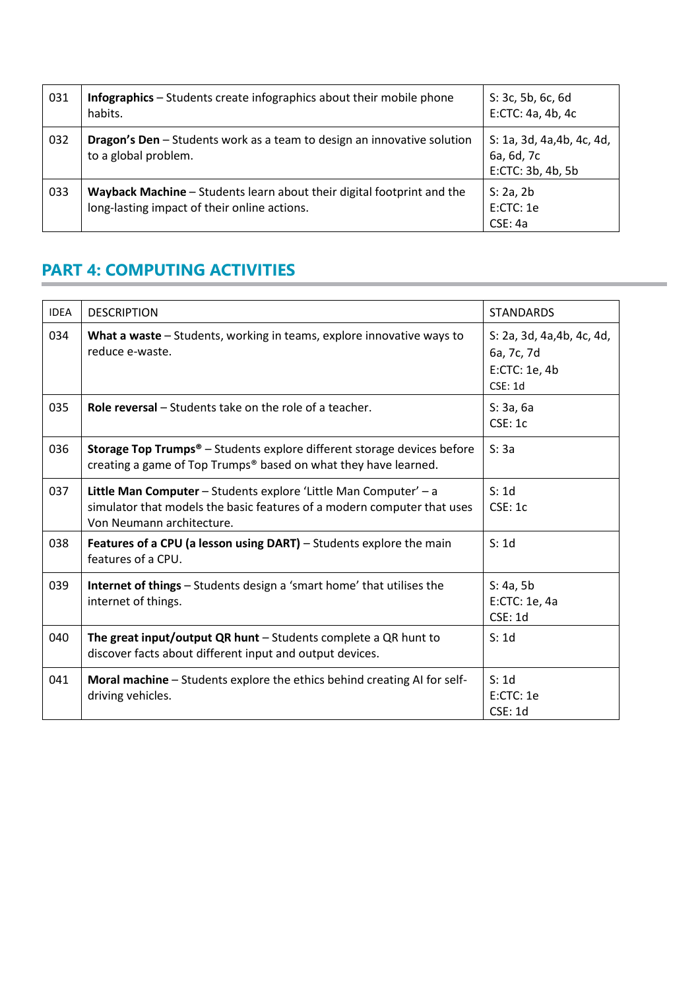| 031 | <b>Infographics</b> – Students create infographics about their mobile phone<br>habits.                                 | S: 3c, 5b, 6c, 6d<br>E:CTC: 4a, 4b, 4c                        |
|-----|------------------------------------------------------------------------------------------------------------------------|---------------------------------------------------------------|
| 032 | <b>Dragon's Den</b> – Students work as a team to design an innovative solution<br>to a global problem.                 | S: 1a, 3d, 4a, 4b, 4c, 4d,<br>6a, 6d, 7c<br>E:CTC: 3b, 4b, 5b |
| 033 | Wayback Machine - Students learn about their digital footprint and the<br>long-lasting impact of their online actions. | S: 2a, 2b<br>E:CTC:1e<br>CSE: 4a                              |

### **PART 4: COMPUTING ACTIVITIES**

| <b>IDEA</b> | <b>DESCRIPTION</b>                                                                                                                                                       | <b>STANDARDS</b>                                                     |
|-------------|--------------------------------------------------------------------------------------------------------------------------------------------------------------------------|----------------------------------------------------------------------|
| 034         | What a waste – Students, working in teams, explore innovative ways to<br>reduce e-waste.                                                                                 | S: 2a, 3d, 4a, 4b, 4c, 4d,<br>6a, 7c, 7d<br>E:CTC: 1e, 4b<br>CSE: 1d |
| 035         | Role reversal - Students take on the role of a teacher.                                                                                                                  | S: 3a, 6a<br>CSE: 1c                                                 |
| 036         | <b>Storage Top Trumps<sup>®</sup></b> - Students explore different storage devices before<br>creating a game of Top Trumps® based on what they have learned.             | S: 3a                                                                |
| 037         | Little Man Computer - Students explore 'Little Man Computer' - a<br>simulator that models the basic features of a modern computer that uses<br>Von Neumann architecture. | S: 1d<br>CSE: 1c                                                     |
| 038         | Features of a CPU (a lesson using DART) - Students explore the main<br>features of a CPU.                                                                                | S: 1d                                                                |
| 039         | Internet of things - Students design a 'smart home' that utilises the<br>internet of things.                                                                             | S: 4a, 5b<br>E:CTC: 1e, 4a<br>CSE: 1d                                |
| 040         | The great input/output QR hunt $-$ Students complete a QR hunt to<br>discover facts about different input and output devices.                                            | S:1d                                                                 |
| 041         | Moral machine - Students explore the ethics behind creating AI for self-<br>driving vehicles.                                                                            | S: 1d<br>E:CTC:1e<br><b>CSE: 1d</b>                                  |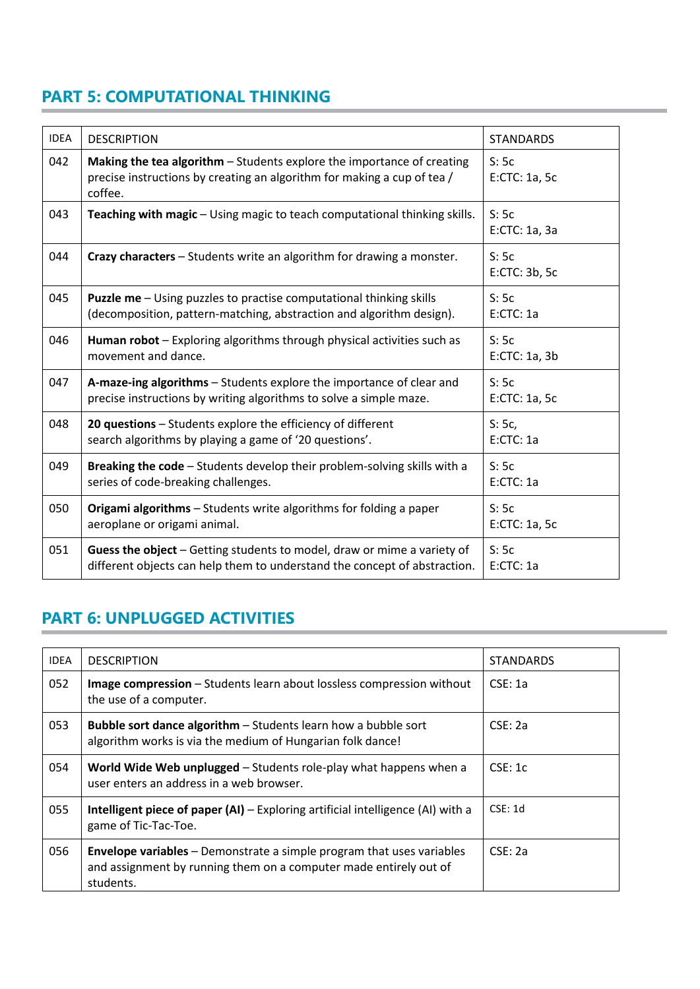### **PART 5: COMPUTATIONAL THINKING**

| <b>IDEA</b> | <b>DESCRIPTION</b>                                                                                                                                           | <b>STANDARDS</b>      |
|-------------|--------------------------------------------------------------------------------------------------------------------------------------------------------------|-----------------------|
| 042         | Making the tea algorithm - Students explore the importance of creating<br>precise instructions by creating an algorithm for making a cup of tea /<br>coffee. | S:5c<br>E:CTC: 1a, 5c |
| 043         | Teaching with magic - Using magic to teach computational thinking skills.                                                                                    | S:5c<br>E:CTC: 1a, 3a |
| 044         | Crazy characters - Students write an algorithm for drawing a monster.                                                                                        | S:5c<br>E:CTC: 3b, 5c |
| 045         | <b>Puzzle me</b> - Using puzzles to practise computational thinking skills<br>(decomposition, pattern-matching, abstraction and algorithm design).           | S:5c<br>E:CTC: 1a     |
| 046         | Human robot - Exploring algorithms through physical activities such as<br>movement and dance.                                                                | S:5c<br>E:CTC: 1a, 3b |
| 047         | A-maze-ing algorithms - Students explore the importance of clear and<br>precise instructions by writing algorithms to solve a simple maze.                   | S:5c<br>E:CTC: 1a, 5c |
| 048         | 20 questions - Students explore the efficiency of different<br>search algorithms by playing a game of '20 questions'.                                        | S:5c,<br>E:CTC: 1a    |
| 049         | Breaking the code - Students develop their problem-solving skills with a<br>series of code-breaking challenges.                                              | S:5c<br>E:CTC: 1a     |
| 050         | Origami algorithms - Students write algorithms for folding a paper<br>aeroplane or origami animal.                                                           | S:5c<br>E:CTC: 1a, 5c |
| 051         | Guess the object - Getting students to model, draw or mime a variety of<br>different objects can help them to understand the concept of abstraction.         | S:5c<br>E:CTC: 1a     |

### **PART 6: UNPLUGGED ACTIVITIES**

| <b>IDEA</b> | <b>DESCRIPTION</b>                                                                                                                                             | <b>STANDARDS</b> |
|-------------|----------------------------------------------------------------------------------------------------------------------------------------------------------------|------------------|
| 052         | Image compression - Students learn about lossless compression without<br>the use of a computer.                                                                | CSE: 1a          |
| 053         | <b>Bubble sort dance algorithm - Students learn how a bubble sort</b><br>algorithm works is via the medium of Hungarian folk dance!                            | CSE: 2a          |
| 054         | World Wide Web unplugged – Students role-play what happens when a<br>user enters an address in a web browser.                                                  | CSE: 1c          |
| 055         | <b>Intelligent piece of paper (AI)</b> $-$ Exploring artificial intelligence (AI) with a<br>game of Tic-Tac-Toe.                                               | CSE: 1d          |
| 056         | <b>Envelope variables</b> – Demonstrate a simple program that uses variables<br>and assignment by running them on a computer made entirely out of<br>students. | CSE: 2a          |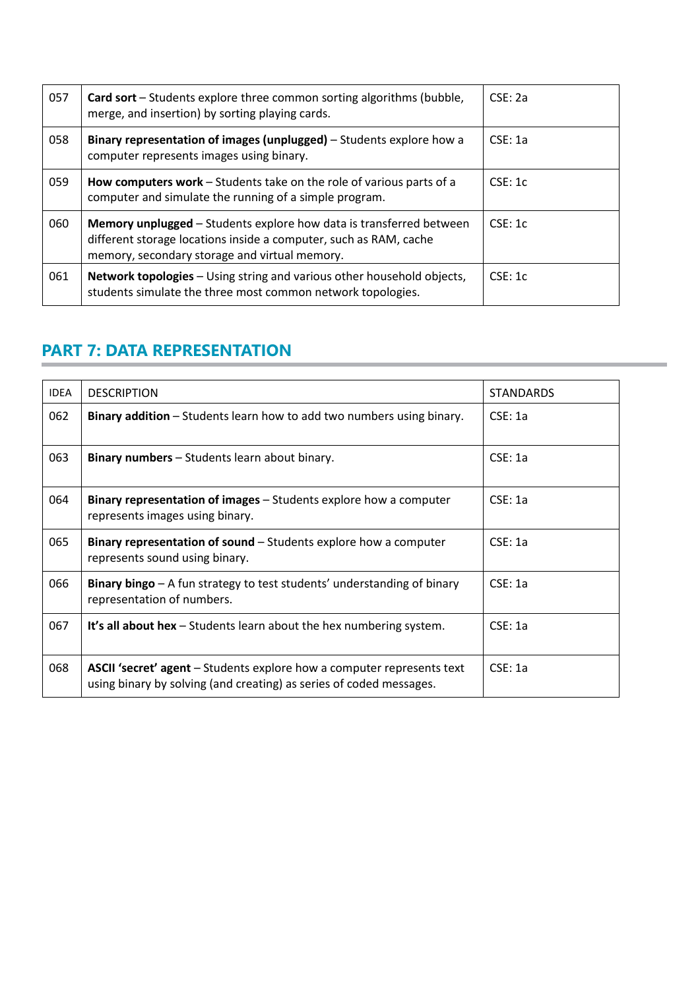| 057 | <b>Card sort</b> – Students explore three common sorting algorithms (bubble,<br>merge, and insertion) by sorting playing cards.                                                           | CSE: 2a |
|-----|-------------------------------------------------------------------------------------------------------------------------------------------------------------------------------------------|---------|
| 058 | Binary representation of images (unplugged) – Students explore how a<br>computer represents images using binary.                                                                          | CSE: 1a |
| 059 | How computers work – Students take on the role of various parts of a<br>computer and simulate the running of a simple program.                                                            | CSE: 1c |
| 060 | Memory unplugged – Students explore how data is transferred between<br>different storage locations inside a computer, such as RAM, cache<br>memory, secondary storage and virtual memory. | CSE: 1c |
| 061 | <b>Network topologies</b> – Using string and various other household objects,<br>students simulate the three most common network topologies.                                              | CSE: 1c |

#### **PART 7: DATA REPRESENTATION**

| <b>IDEA</b> | <b>DESCRIPTION</b>                                                                                                                            | <b>STANDARDS</b> |
|-------------|-----------------------------------------------------------------------------------------------------------------------------------------------|------------------|
| 062         | <b>Binary addition</b> – Students learn how to add two numbers using binary.                                                                  | CSE: 1a          |
| 063         | Binary numbers - Students learn about binary.                                                                                                 | CSE: 1a          |
| 064         | <b>Binary representation of images</b> – Students explore how a computer<br>represents images using binary.                                   | CSE: 1a          |
| 065         | Binary representation of sound – Students explore how a computer<br>represents sound using binary.                                            | CSE: 1a          |
| 066         | Binary bingo – A fun strategy to test students' understanding of binary<br>representation of numbers.                                         | CSE: 1a          |
| 067         | It's all about hex - Students learn about the hex numbering system.                                                                           | CSE: 1a          |
| 068         | ASCII 'secret' agent - Students explore how a computer represents text<br>using binary by solving (and creating) as series of coded messages. | CSE: 1a          |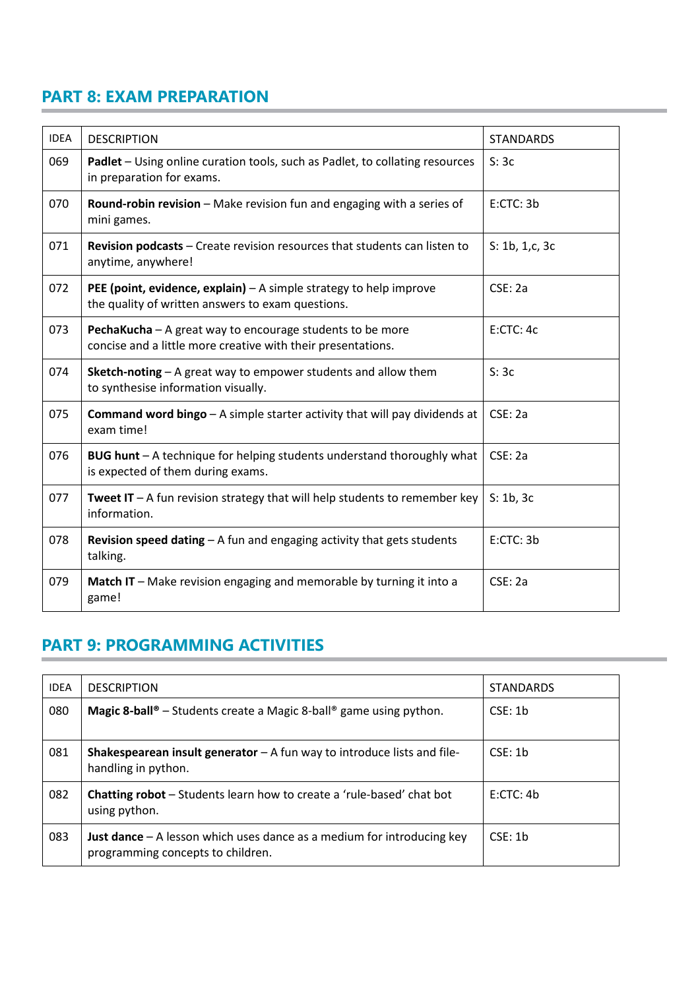### **PART 8: EXAM PREPARATION**

| <b>IDEA</b> | <b>DESCRIPTION</b>                                                                                                               | <b>STANDARDS</b> |
|-------------|----------------------------------------------------------------------------------------------------------------------------------|------------------|
| 069         | Padlet - Using online curation tools, such as Padlet, to collating resources<br>in preparation for exams.                        | S:3c             |
| 070         | Round-robin revision - Make revision fun and engaging with a series of<br>mini games.                                            | E:CTC: 3b        |
| 071         | Revision podcasts - Create revision resources that students can listen to<br>anytime, anywhere!                                  | S: 1b, 1,c, 3c   |
| 072         | <b>PEE (point, evidence, explain)</b> $- A$ simple strategy to help improve<br>the quality of written answers to exam questions. | CSE: 2a          |
| 073         | PechaKucha - A great way to encourage students to be more<br>concise and a little more creative with their presentations.        | E:CTC: 4c        |
| 074         | Sketch-noting - A great way to empower students and allow them<br>to synthesise information visually.                            | S:3c             |
| 075         | <b>Command word bingo</b> $-$ A simple starter activity that will pay dividends at<br>exam time!                                 | CSE: 2a          |
| 076         | BUG hunt - A technique for helping students understand thoroughly what<br>is expected of them during exams.                      | CSE: 2a          |
| 077         | <b>Tweet IT</b> $-$ A fun revision strategy that will help students to remember key<br>information.                              | S: 1b, 3c        |
| 078         | <b>Revision speed dating - A fun and engaging activity that gets students</b><br>talking.                                        | E:CTC:3b         |
| 079         | Match IT - Make revision engaging and memorable by turning it into a<br>game!                                                    | CSE: 2a          |

#### **PART 9: PROGRAMMING ACTIVITIES**

| <b>IDEA</b> | <b>DESCRIPTION</b>                                                                                                   | <b>STANDARDS</b> |
|-------------|----------------------------------------------------------------------------------------------------------------------|------------------|
| 080         | <b>Magic 8-ball</b> <sup><math>\circ</math></sup> – Students create a Magic 8-ball <sup>®</sup> game using python.   | CSE: 1b          |
| 081         | <b>Shakespearean insult generator</b> $-$ A fun way to introduce lists and file-<br>handling in python.              | CSE: 1b          |
| 082         | <b>Chatting robot</b> – Students learn how to create a 'rule-based' chat bot<br>using python.                        | E:CTC:4b         |
| 083         | <b>Just dance</b> $-$ A lesson which uses dance as a medium for introducing key<br>programming concepts to children. | CSE: 1b          |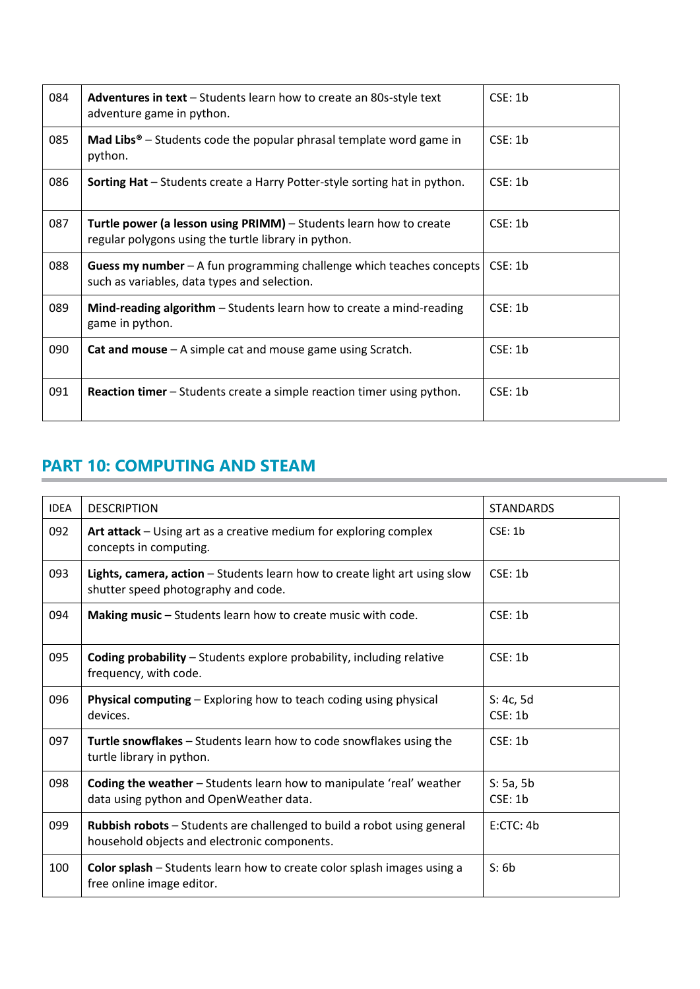| 084 | <b>Adventures in text</b> – Students learn how to create an 80s-style text<br>adventure game in python.                           | CSE: 1b |
|-----|-----------------------------------------------------------------------------------------------------------------------------------|---------|
| 085 | <b>Mad Libs<sup>®</sup></b> – Students code the popular phrasal template word game in<br>python.                                  | CSE: 1b |
| 086 | <b>Sorting Hat</b> – Students create a Harry Potter-style sorting hat in python.                                                  | CSE: 1b |
| 087 | <b>Turtle power (a lesson using PRIMM)</b> – Students learn how to create<br>regular polygons using the turtle library in python. | CSE: 1b |
| 088 | <b>Guess my number</b> – A fun programming challenge which teaches concepts<br>such as variables, data types and selection.       | CSE: 1b |
| 089 | <b>Mind-reading algorithm</b> $-$ Students learn how to create a mind-reading<br>game in python.                                  | CSE: 1b |
| 090 | <b>Cat and mouse</b> $-$ A simple cat and mouse game using Scratch.                                                               | CSE: 1b |
| 091 | <b>Reaction timer</b> – Students create a simple reaction timer using python.                                                     | CSE: 1b |

### **PART 10: COMPUTING AND STEAM**

| <b>IDEA</b> | <b>DESCRIPTION</b>                                                                                                             | <b>STANDARDS</b>     |
|-------------|--------------------------------------------------------------------------------------------------------------------------------|----------------------|
| 092         | Art attack - Using art as a creative medium for exploring complex<br>concepts in computing.                                    | CSE: 1b              |
| 093         | Lights, camera, action - Students learn how to create light art using slow<br>shutter speed photography and code.              | CSE: 1b              |
| 094         | Making music - Students learn how to create music with code.                                                                   | CSE: 1b              |
| 095         | <b>Coding probability</b> - Students explore probability, including relative<br>frequency, with code.                          | CSE: 1b              |
| 096         | Physical computing - Exploring how to teach coding using physical<br>devices.                                                  | S: 4c, 5d<br>CSE: 1b |
| 097         | Turtle snowflakes - Students learn how to code snowflakes using the<br>turtle library in python.                               | CSE: 1b              |
| 098         | <b>Coding the weather</b> - Students learn how to manipulate 'real' weather<br>data using python and OpenWeather data.         | S: 5a, 5b<br>CSE: 1b |
| 099         | <b>Rubbish robots</b> – Students are challenged to build a robot using general<br>household objects and electronic components. | E:CTC:4b             |
| 100         | Color splash - Students learn how to create color splash images using a<br>free online image editor.                           | S: 6b                |